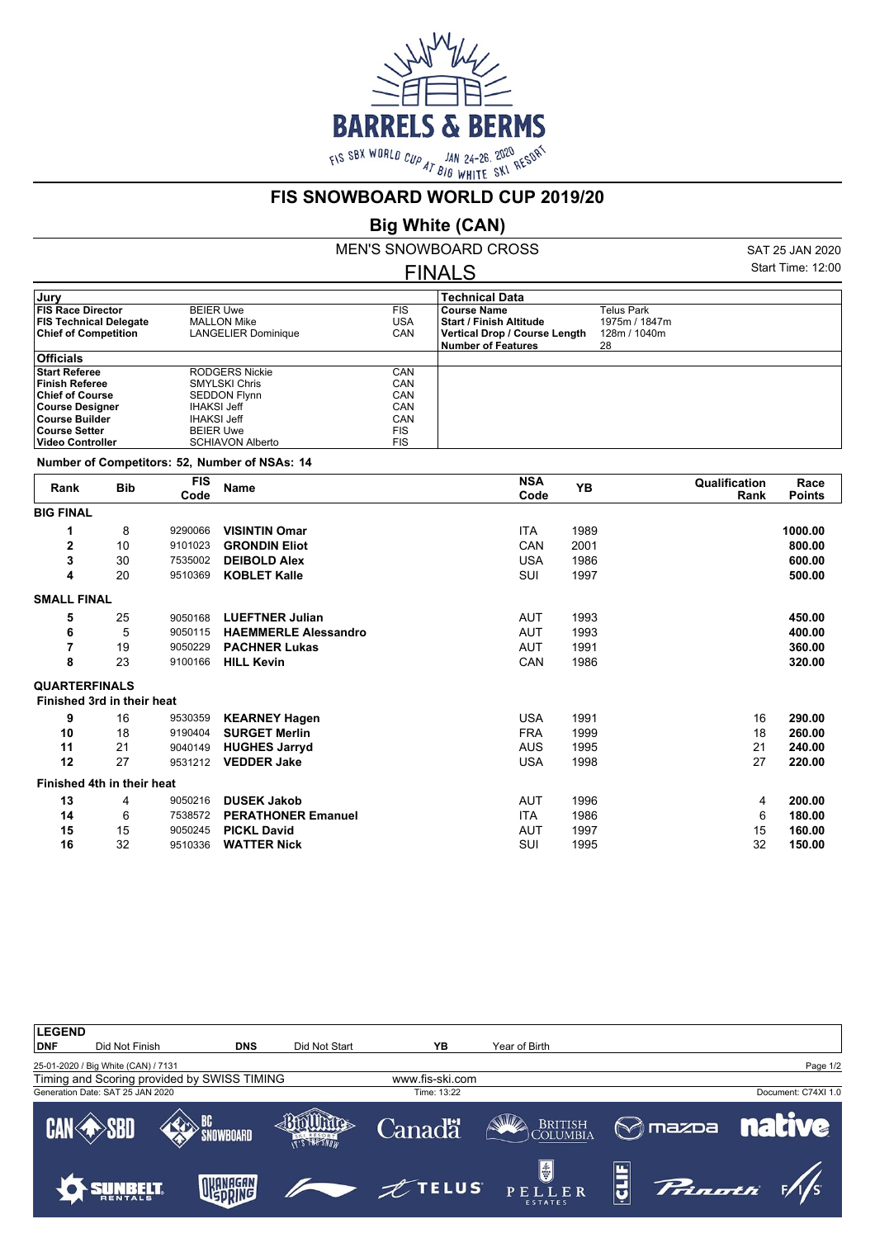

#### **FIS SNOWBOARD WORLD CUP 2019/20**

# **Big White (CAN)**

MEN'S SNOWBOARD CROSS FINALS

SAT 25 JAN 2020 Start Time: 12:00

| Jury                          |                         |            | <b>Technical Data</b>          |               |  |
|-------------------------------|-------------------------|------------|--------------------------------|---------------|--|
| <b>FIS Race Director</b>      | <b>BEIER Uwe</b>        | <b>FIS</b> | <b>Course Name</b>             | Telus Park    |  |
| <b>FIS Technical Delegate</b> | <b>MALLON Mike</b>      | USA        | <b>Start / Finish Altitude</b> | 1975m / 1847m |  |
| <b>Chief of Competition</b>   | LANGELIER Dominique     | CAN        | Vertical Drop / Course Length  | 128m / 1040m  |  |
|                               |                         |            | <b>Number of Features</b>      | 28            |  |
| <b>Officials</b>              |                         |            |                                |               |  |
| <b>Start Referee</b>          | <b>RODGERS Nickie</b>   | CAN        |                                |               |  |
| <b>Finish Referee</b>         | <b>SMYLSKI Chris</b>    | CAN        |                                |               |  |
| <b>Chief of Course</b>        | <b>SEDDON Flynn</b>     | CAN        |                                |               |  |
| <b>Course Designer</b>        | IHAKSI Jeff             | CAN        |                                |               |  |
| Course Builder                | IHAKSI Jeff             | CAN        |                                |               |  |
| <b>Course Setter</b>          | <b>BEIER Uwe</b>        | <b>FIS</b> |                                |               |  |
| <b>Video Controller</b>       | <b>SCHIAVON Alberto</b> | <b>FIS</b> |                                |               |  |
|                               |                         |            |                                |               |  |

**Number of Competitors: 52, Number of NSAs: 14**

| Rank                 | <b>Bib</b>                 | <b>FIS</b><br>Code | <b>Name</b>                 | <b>NSA</b><br>Code | YB   | Qualification<br>Rank | Race<br><b>Points</b> |
|----------------------|----------------------------|--------------------|-----------------------------|--------------------|------|-----------------------|-----------------------|
| <b>BIG FINAL</b>     |                            |                    |                             |                    |      |                       |                       |
| 1                    | 8                          | 9290066            | <b>VISINTIN Omar</b>        | <b>ITA</b>         | 1989 |                       | 1000.00               |
| $\overline{2}$       | 10                         | 9101023            | <b>GRONDIN Eliot</b>        | CAN                | 2001 |                       | 800.00                |
| 3                    | 30                         | 7535002            | <b>DEIBOLD Alex</b>         | <b>USA</b>         | 1986 |                       | 600.00                |
| 4                    | 20                         | 9510369            | <b>KOBLET Kalle</b>         | SUI                | 1997 |                       | 500.00                |
| <b>SMALL FINAL</b>   |                            |                    |                             |                    |      |                       |                       |
| 5                    | 25                         | 9050168            | <b>LUEFTNER Julian</b>      | AUT                | 1993 |                       | 450.00                |
| 6                    | 5                          | 9050115            | <b>HAEMMERLE Alessandro</b> | <b>AUT</b>         | 1993 |                       | 400.00                |
| $\overline{7}$       | 19                         | 9050229            | <b>PACHNER Lukas</b>        | <b>AUT</b>         | 1991 |                       | 360.00                |
| 8                    | 23                         | 9100166            | <b>HILL Kevin</b>           | CAN                | 1986 |                       | 320.00                |
| <b>QUARTERFINALS</b> |                            |                    |                             |                    |      |                       |                       |
|                      | Finished 3rd in their heat |                    |                             |                    |      |                       |                       |
| 9                    | 16                         | 9530359            | <b>KEARNEY Hagen</b>        | <b>USA</b>         | 1991 | 16                    | 290.00                |
| 10                   | 18                         | 9190404            | <b>SURGET Merlin</b>        | <b>FRA</b>         | 1999 | 18                    | 260.00                |
| 11                   | 21                         | 9040149            | <b>HUGHES Jarryd</b>        | <b>AUS</b>         | 1995 | 21                    | 240.00                |
| 12                   | 27                         | 9531212            | <b>VEDDER Jake</b>          | <b>USA</b>         | 1998 | 27                    | 220.00                |
|                      | Finished 4th in their heat |                    |                             |                    |      |                       |                       |
| 13                   | 4                          | 9050216            | <b>DUSEK Jakob</b>          | <b>AUT</b>         | 1996 | 4                     | 200.00                |
| 14                   | 6                          | 7538572            | <b>PERATHONER Emanuel</b>   | ITA                | 1986 | 6                     | 180.00                |
| 15                   | 15                         | 9050245            | <b>PICKL David</b>          | AUT                | 1997 | 15                    | 160.00                |
| 16                   | 32                         | 9510336            | <b>WATTER Nick</b>          | SUI                | 1995 | 32                    | 150.00                |